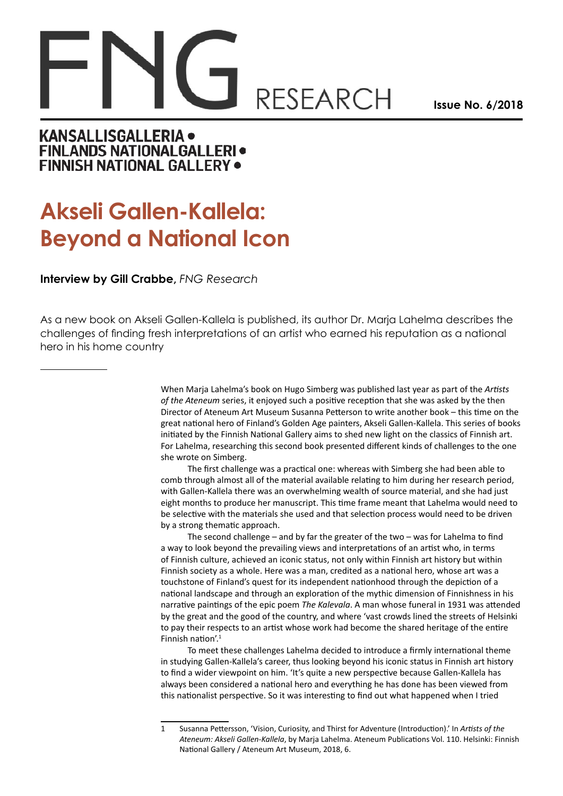## **RESEARCH**

**Issue No. 6/2018**

## KANSALLISGALLERIA . **FINLANDS NATIONALGALLERI · FINNISH NATIONAL GALLERY .**

## **Akseli Gallen-Kallela: Beyond a National Icon**

## **Interview by Gill Crabbe,** *FNG Research*

As a new book on Akseli Gallen-Kallela is published, its author Dr. Marja Lahelma describes the challenges of finding fresh interpretations of an artist who earned his reputation as a national hero in his home country

> When Marja Lahelma's book on Hugo Simberg was published last year as part of the *Artists of the Ateneum* series, it enjoyed such a positive reception that she was asked by the then Director of Ateneum Art Museum Susanna Petterson to write another book – this time on the great national hero of Finland's Golden Age painters, Akseli Gallen-Kallela. This series of books initiated by the Finnish National Gallery aims to shed new light on the classics of Finnish art. For Lahelma, researching this second book presented different kinds of challenges to the one she wrote on Simberg.

> The first challenge was a practical one: whereas with Simberg she had been able to comb through almost all of the material available relating to him during her research period, with Gallen-Kallela there was an overwhelming wealth of source material, and she had just eight months to produce her manuscript. This time frame meant that Lahelma would need to be selective with the materials she used and that selection process would need to be driven by a strong thematic approach.

> The second challenge – and by far the greater of the two – was for Lahelma to find a way to look beyond the prevailing views and interpretations of an artist who, in terms of Finnish culture, achieved an iconic status, not only within Finnish art history but within Finnish society as a whole. Here was a man, credited as a national hero, whose art was a touchstone of Finland's quest for its independent nationhood through the depiction of a national landscape and through an exploration of the mythic dimension of Finnishness in his narrative paintings of the epic poem *The Kalevala*. A man whose funeral in 1931 was attended by the great and the good of the country, and where 'vast crowds lined the streets of Helsinki to pay their respects to an artist whose work had become the shared heritage of the entire Finnish nation'.1

To meet these challenges Lahelma decided to introduce a firmly international theme in studying Gallen-Kallela's career, thus looking beyond his iconic status in Finnish art history to find a wider viewpoint on him. 'It's quite a new perspective because Gallen-Kallela has always been considered a national hero and everything he has done has been viewed from this nationalist perspective. So it was interesting to find out what happened when I tried

<sup>1</sup> Susanna Pettersson, 'Vision, Curiosity, and Thirst for Adventure (Introduction).' In *Artists of the Ateneum: Akseli Gallen-Kallela*, by Marja Lahelma. Ateneum Publications Vol. 110. Helsinki: Finnish National Gallery / Ateneum Art Museum, 2018, 6.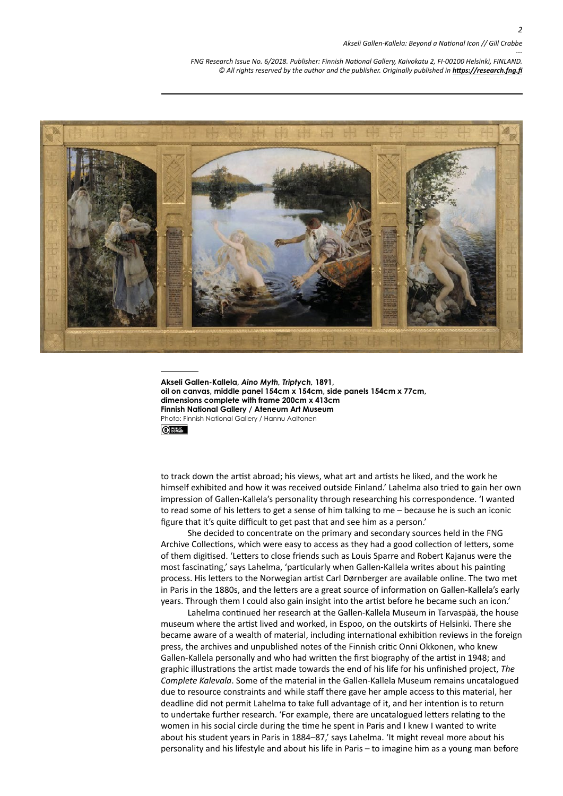*--- FNG Research Issue No. 6/2018. Publisher: Finnish National Gallery, Kaivokatu 2, FI-00100 Helsinki, FINLAND.* © All rights reserved by the author and the publisher. Originally published in **<https://research.fng.fi>** 



**Akseli Gallen-Kallela,** *Aino Myth, Triptych,* **1891, oil on canvas, middle panel 154cm x 154cm, side panels 154cm x 77cm, dimensions complete with frame 200cm x 413cm Finnish National Gallery / Ateneum Art Museum** Photo: Finnish National Gallery / Hannu Aaltonen

 $\odot$ 

to track down the artist abroad; his views, what art and artists he liked, and the work he himself exhibited and how it was received outside Finland.' Lahelma also tried to gain her own impression of Gallen-Kallela's personality through researching his correspondence. 'I wanted to read some of his letters to get a sense of him talking to me – because he is such an iconic figure that it's quite difficult to get past that and see him as a person.'

She decided to concentrate on the primary and secondary sources held in the FNG Archive Collections, which were easy to access as they had a good collection of letters, some of them digitised. 'Letters to close friends such as Louis Sparre and Robert Kajanus were the most fascinating,' says Lahelma, 'particularly when Gallen-Kallela writes about his painting process. His letters to the Norwegian artist Carl Dørnberger are available online. The two met in Paris in the 1880s, and the letters are a great source of information on Gallen-Kallela's early years. Through them I could also gain insight into the artist before he became such an icon.'

Lahelma continued her research at the Gallen-Kallela Museum in Tarvaspää, the house museum where the artist lived and worked, in Espoo, on the outskirts of Helsinki. There she became aware of a wealth of material, including international exhibition reviews in the foreign press, the archives and unpublished notes of the Finnish critic Onni Okkonen, who knew Gallen-Kallela personally and who had written the first biography of the artist in 1948; and graphic illustrations the artist made towards the end of his life for his unfinished project, *The Complete Kalevala*. Some of the material in the Gallen-Kallela Museum remains uncatalogued due to resource constraints and while staff there gave her ample access to this material, her deadline did not permit Lahelma to take full advantage of it, and her intention is to return to undertake further research. 'For example, there are uncatalogued letters relating to the women in his social circle during the time he spent in Paris and I knew I wanted to write about his student years in Paris in 1884-87,' says Lahelma. 'It might reveal more about his personality and his lifestyle and about his life in Paris – to imagine him as a young man before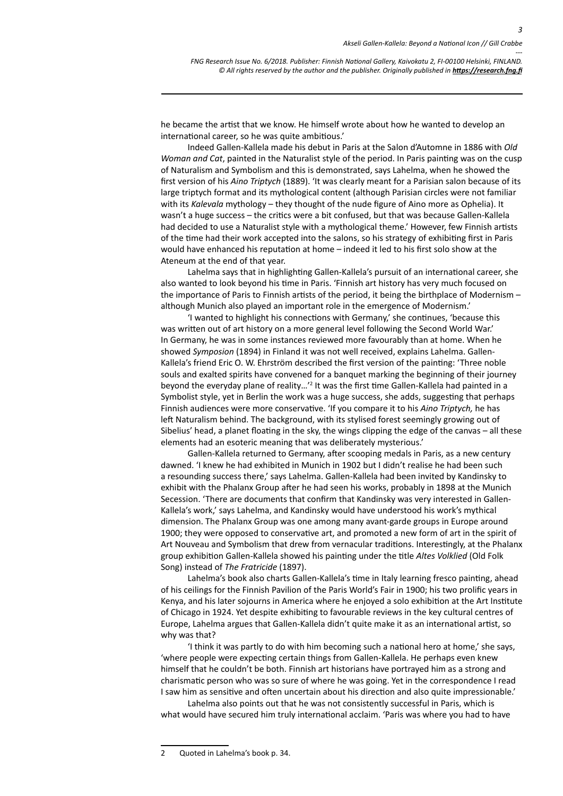*3*

*--- FNG Research Issue No. 6/2018. Publisher: Finnish National Gallery, Kaivokatu 2, FI-00100 Helsinki, FINLAND.* © All rights reserved by the author and the publisher. Originally published in **<https://research.fng.fi>** 

he became the artist that we know. He himself wrote about how he wanted to develop an international career, so he was quite ambitious.'

Indeed Gallen-Kallela made his debut in Paris at the Salon d'Automne in 1886 with *Old Woman and Cat*, painted in the Naturalist style of the period. In Paris painting was on the cusp of Naturalism and Symbolism and this is demonstrated, says Lahelma, when he showed the first version of his *Aino Triptych* (1889). 'It was clearly meant for a Parisian salon because of its large triptych format and its mythological content (although Parisian circles were not familiar with its *Kalevala* mythology – they thought of the nude figure of Aino more as Ophelia). It wasn't a huge success – the critics were a bit confused, but that was because Gallen-Kallela had decided to use a Naturalist style with a mythological theme.' However, few Finnish artists of the time had their work accepted into the salons, so his strategy of exhibiting first in Paris would have enhanced his reputation at home – indeed it led to his first solo show at the Ateneum at the end of that year.

Lahelma says that in highlighting Gallen-Kallela's pursuit of an international career, she also wanted to look beyond his time in Paris. 'Finnish art history has very much focused on the importance of Paris to Finnish artists of the period, it being the birthplace of Modernism – although Munich also played an important role in the emergence of Modernism.'

'I wanted to highlight his connections with Germany,' she continues, 'because this was written out of art history on a more general level following the Second World War.' In Germany, he was in some instances reviewed more favourably than at home. When he showed *Symposion* (1894) in Finland it was not well received, explains Lahelma. Gallen-Kallela's friend Eric O. W. Ehrström described the first version of the painting: 'Three noble souls and exalted spirits have convened for a banquet marking the beginning of their journey beyond the everyday plane of reality...'<sup>2</sup> It was the first time Gallen-Kallela had painted in a Symbolist style, yet in Berlin the work was a huge success, she adds, suggesting that perhaps Finnish audiences were more conservative. 'If you compare it to his *Aino Triptych,* he has left Naturalism behind. The background, with its stylised forest seemingly growing out of Sibelius' head, a planet floating in the sky, the wings clipping the edge of the canvas – all these elements had an esoteric meaning that was deliberately mysterious.'

Gallen-Kallela returned to Germany, after scooping medals in Paris, as a new century dawned. 'I knew he had exhibited in Munich in 1902 but I didn't realise he had been such a resounding success there,' says Lahelma. Gallen-Kallela had been invited by Kandinsky to exhibit with the Phalanx Group after he had seen his works, probably in 1898 at the Munich Secession. 'There are documents that confirm that Kandinsky was very interested in Gallen-Kallela's work,' says Lahelma, and Kandinsky would have understood his work's mythical dimension. The Phalanx Group was one among many avant-garde groups in Europe around 1900; they were opposed to conservative art, and promoted a new form of art in the spirit of Art Nouveau and Symbolism that drew from vernacular traditions. Interestingly, at the Phalanx group exhibition Gallen-Kallela showed his painting under the title *Altes Volklied* (Old Folk Song) instead of *The Fratricide* (1897).

Lahelma's book also charts Gallen-Kallela's time in Italy learning fresco painting, ahead of his ceilings for the Finnish Pavilion of the Paris World's Fair in 1900; his two prolific years in Kenya, and his later sojourns in America where he enjoyed a solo exhibition at the Art Institute of Chicago in 1924. Yet despite exhibiting to favourable reviews in the key cultural centres of Europe, Lahelma argues that Gallen-Kallela didn't quite make it as an international artist, so why was that?

'I think it was partly to do with him becoming such a national hero at home,' she says, 'where people were expecting certain things from Gallen-Kallela. He perhaps even knew himself that he couldn't be both. Finnish art historians have portrayed him as a strong and charismatic person who was so sure of where he was going. Yet in the correspondence I read I saw him as sensitive and often uncertain about his direction and also quite impressionable.'

Lahelma also points out that he was not consistently successful in Paris, which is what would have secured him truly international acclaim. 'Paris was where you had to have

<sup>2</sup> Quoted in Lahelma's book p. 34.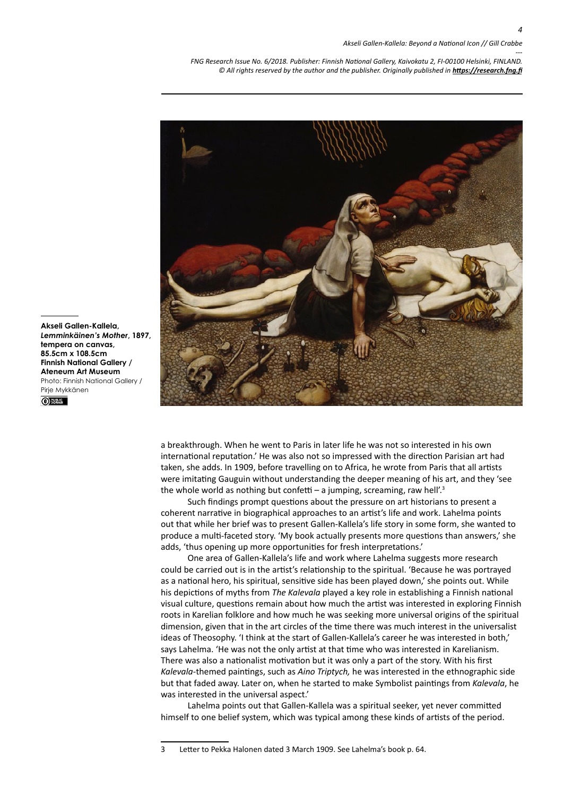*4*

*--- FNG Research Issue No. 6/2018. Publisher: Finnish National Gallery, Kaivokatu 2, FI-00100 Helsinki, FINLAND.* © All rights reserved by the author and the publisher. Originally published in **<https://research.fng.fi>** 



**Akseli Gallen-Kallela,**  *Lemminkäinen's Mother***, 1897, tempera on canvas, 85.5cm x 108.5cm Finnish National Gallery / Ateneum Art Museum** Photo: Finnish National Gallery / Pirje Mykkänen<sup>PUBLIC</sup><br>
OD BOMAIN

> a breakthrough. When he went to Paris in later life he was not so interested in his own international reputation.' He was also not so impressed with the direction Parisian art had taken, she adds. In 1909, before travelling on to Africa, he wrote from Paris that all artists were imitating Gauguin without understanding the deeper meaning of his art, and they 'see the whole world as nothing but confetti – a jumping, screaming, raw hell'.<sup>3</sup>

Such findings prompt questions about the pressure on art historians to present a coherent narrative in biographical approaches to an artist's life and work. Lahelma points out that while her brief was to present Gallen-Kallela's life story in some form, she wanted to produce a multi-faceted story. 'My book actually presents more questions than answers,' she adds, 'thus opening up more opportunities for fresh interpretations.'

One area of Gallen-Kallela's life and work where Lahelma suggests more research could be carried out is in the artist's relationship to the spiritual. 'Because he was portrayed as a national hero, his spiritual, sensitive side has been played down,' she points out. While his depictions of myths from *The Kalevala* played a key role in establishing a Finnish national visual culture, questions remain about how much the artist was interested in exploring Finnish roots in Karelian folklore and how much he was seeking more universal origins of the spiritual dimension, given that in the art circles of the time there was much interest in the universalist ideas of Theosophy. 'I think at the start of Gallen-Kallela's career he was interested in both,' says Lahelma. 'He was not the only artist at that time who was interested in Karelianism. There was also a nationalist motivation but it was only a part of the story. With his first *Kalevala*-themed paintings, such as *Aino Triptych,* he was interested in the ethnographic side but that faded away. Later on, when he started to make Symbolist paintings from *Kalevala*, he was interested in the universal aspect.'

Lahelma points out that Gallen-Kallela was a spiritual seeker, yet never committed himself to one belief system, which was typical among these kinds of artists of the period.

<sup>3</sup> Letter to Pekka Halonen dated 3 March 1909. See Lahelma's book p. 64.